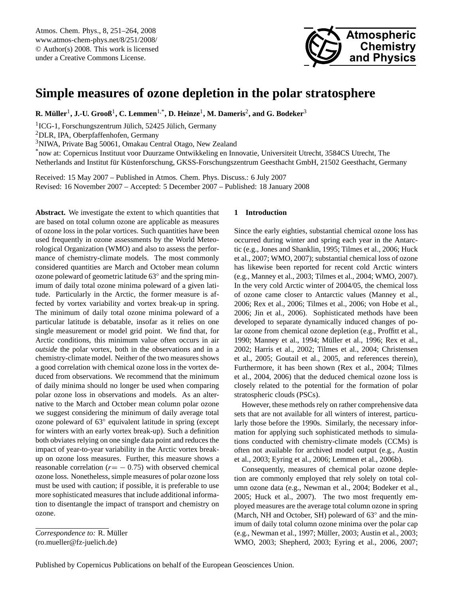

# <span id="page-0-0"></span>**Simple measures of ozone depletion in the polar stratosphere**

**R. Muller ¨** 1 **, J.-U. Grooß**<sup>1</sup> **, C. Lemmen**1,\***, D. Heinze**<sup>1</sup> **, M. Dameris**<sup>2</sup> **, and G. Bodeker**<sup>3</sup>

 ${}^{1}$ ICG-1, Forschungszentrum Jülich, 52425 Jülich, Germany

<sup>2</sup>DLR, IPA, Oberpfaffenhofen, Germany

<sup>3</sup>NIWA, Private Bag 50061, Omakau Central Otago, New Zealand

\*now at: Copernicus Instituut voor Duurzame Ontwikkeling en Innovatie, Universiteit Utrecht, 3584CS Utrecht, The Netherlands and Institut für Küstenforschung, GKSS-Forschungszentrum Geesthacht GmbH, 21502 Geesthacht, Germany

Received: 15 May 2007 – Published in Atmos. Chem. Phys. Discuss.: 6 July 2007 Revised: 16 November 2007 – Accepted: 5 December 2007 – Published: 18 January 2008

Abstract. We investigate the extent to which quantities that are based on total column ozone are applicable as measures of ozone loss in the polar vortices. Such quantities have been used frequently in ozone assessments by the World Meteorological Organization (WMO) and also to assess the performance of chemistry-climate models. The most commonly considered quantities are March and October mean column ozone poleward of geometric latitude 63◦ and the spring minimum of daily total ozone minima poleward of a given latitude. Particularly in the Arctic, the former measure is affected by vortex variability and vortex break-up in spring. The minimum of daily total ozone minima poleward of a particular latitude is debatable, insofar as it relies on one single measurement or model grid point. We find that, for Arctic conditions, this minimum value often occurs in air *outside* the polar vortex, both in the observations and in a chemistry-climate model. Neither of the two measures shows a good correlation with chemical ozone loss in the vortex deduced from observations. We recommend that the minimum of daily minima should no longer be used when comparing polar ozone loss in observations and models. As an alternative to the March and October mean column polar ozone we suggest considering the minimum of daily average total ozone poleward of 63◦ equivalent latitude in spring (except for winters with an early vortex break-up). Such a definition both obviates relying on one single data point and reduces the impact of year-to-year variability in the Arctic vortex breakup on ozone loss measures. Further, this measure shows a reasonable correlation  $(r = -0.75)$  with observed chemical ozone loss. Nonetheless, simple measures of polar ozone loss must be used with caution; if possible, it is preferable to use more sophisticated measures that include additional information to disentangle the impact of transport and chemistry on ozone.

*Correspondence to:* R. Müller (ro.mueller@fz-juelich.de)

## **1 Introduction**

Since the early eighties, substantial chemical ozone loss has occurred during winter and spring each year in the Antarctic (e.g., [Jones and Shanklin,](#page-12-0) [1995;](#page-12-0) [Tilmes et al.,](#page-13-0) [2006;](#page-13-0) [Huck](#page-11-0) [et al.,](#page-11-0) [2007;](#page-11-0) [WMO,](#page-13-1) [2007\)](#page-13-1); substantial chemical loss of ozone has likewise been reported for recent cold Arctic winters (e.g., [Manney et al.,](#page-12-1) [2003;](#page-12-1) [Tilmes et al.,](#page-13-2) [2004;](#page-13-2) [WMO,](#page-13-1) [2007\)](#page-13-1). In the very cold Arctic winter of 2004/05, the chemical loss of ozone came closer to Antarctic values [\(Manney et al.,](#page-12-2) [2006;](#page-12-2) [Rex et al.,](#page-13-3) [2006;](#page-13-3) [Tilmes et al.,](#page-13-0) [2006;](#page-13-0) [von Hobe et al.,](#page-13-4) [2006;](#page-13-4) [Jin et al.,](#page-12-3) [2006\)](#page-12-3). Sophisticated methods have been developed to separate dynamically induced changes of polar ozone from chemical ozone depletion (e.g., [Proffitt et al.,](#page-12-4) [1990;](#page-12-4) [Manney et al.,](#page-12-5) [1994;](#page-12-5) Müller et al., [1996;](#page-12-6) [Rex et al.,](#page-13-5) [2002;](#page-13-5) [Harris et al.,](#page-11-1) [2002;](#page-11-1) [Tilmes et al.,](#page-13-2) [2004;](#page-13-2) [Christensen](#page-11-2) [et al.,](#page-11-2) [2005;](#page-11-2) [Goutail et al.,](#page-11-3) [2005,](#page-11-3) and references therein), Furthermore, it has been shown [\(Rex et al.,](#page-13-6) [2004;](#page-13-6) [Tilmes](#page-13-2) [et al.,](#page-13-2) [2004,](#page-13-2) [2006\)](#page-13-0) that the deduced chemical ozone loss is closely related to the potential for the formation of polar stratospheric clouds (PSCs).

However, these methods rely on rather comprehensive data sets that are not available for all winters of interest, particularly those before the 1990s. Similarly, the necessary information for applying such sophisticated methods to simulations conducted with chemistry-climate models (CCMs) is often not available for archived model output (e.g., [Austin](#page-10-0) [et al.,](#page-10-0) [2003;](#page-10-0) [Eyring et al.,](#page-11-4) [2006;](#page-11-4) [Lemmen et al.,](#page-12-7) [2006b\)](#page-12-7).

Consequently, measures of chemical polar ozone depletion are commonly employed that rely solely on total column ozone data (e.g., [Newman et al.,](#page-12-8) [2004;](#page-12-8) [Bodeker et al.,](#page-11-5) [2005;](#page-11-5) [Huck et al.,](#page-11-0) [2007\)](#page-11-0). The two most frequently employed measures are the average total column ozone in spring (March, NH and October, SH) poleward of 63◦ and the minimum of daily total column ozone minima over the polar cap (e.g., [Newman et al.,](#page-12-9) [1997;](#page-12-9) Müller, [2003;](#page-10-0) [Austin et al.,](#page-10-0) 2003; [WMO,](#page-13-7) [2003;](#page-13-7) [Shepherd,](#page-13-8) [2003;](#page-13-8) [Eyring et al.,](#page-11-4) [2006,](#page-11-4) [2007;](#page-11-6)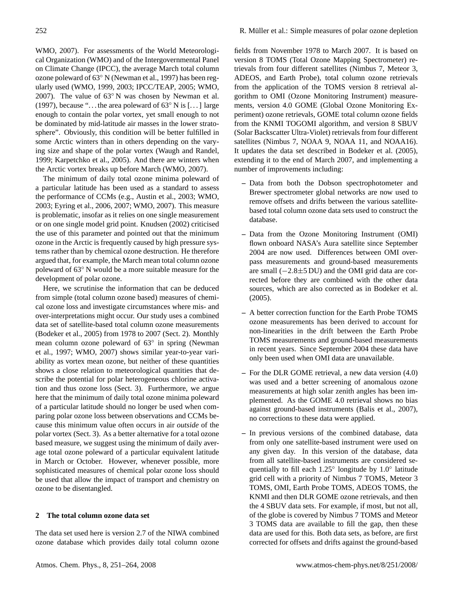[WMO,](#page-13-1) [2007\)](#page-13-1). For assessments of the World Meteorological Organization (WMO) and of the Intergovernmental Panel on Climate Change (IPCC), the average March total column ozone poleward of 63◦ N [\(Newman et al.,](#page-12-9) [1997\)](#page-12-9) has been regularly used [\(WMO,](#page-13-9) [1999,](#page-13-9) [2003;](#page-13-7) [IPCC/TEAP,](#page-11-7) [2005;](#page-11-7) [WMO,](#page-13-1) [2007\)](#page-13-1). The value of 63◦ N was chosen by [Newman et al.](#page-12-9) [\(1997\)](#page-12-9), because "... the area poleward of  $63°$  N is [...] large enough to contain the polar vortex, yet small enough to not be dominated by mid-latitude air masses in the lower stratosphere". Obviously, this condition will be better fulfilled in some Arctic winters than in others depending on the varying size and shape of the polar vortex [\(Waugh and Randel,](#page-13-10) [1999;](#page-13-10) [Karpetchko et al.,](#page-12-11) [2005\)](#page-12-11). And there are winters when the Arctic vortex breaks up before March [\(WMO,](#page-13-1) [2007\)](#page-13-1).

The minimum of daily total ozone minima poleward of a particular latitude has been used as a standard to assess the performance of CCMs (e.g., [Austin et al.,](#page-10-0) [2003;](#page-10-0) [WMO,](#page-13-7) [2003;](#page-13-7) [Eyring et al.,](#page-11-4) [2006,](#page-11-4) [2007;](#page-11-6) [WMO,](#page-13-1) [2007\)](#page-13-1). This measure is problematic, insofar as it relies on one single measurement or on one single model grid point. [Knudsen](#page-12-12) [\(2002\)](#page-12-12) criticised the use of this parameter and pointed out that the minimum ozone in the Arctic is frequently caused by high pressure systems rather than by chemical ozone destruction. He therefore argued that, for example, the March mean total column ozone poleward of 63◦ N would be a more suitable measure for the development of polar ozone.

Here, we scrutinise the information that can be deduced from simple (total column ozone based) measures of chemical ozone loss and investigate circumstances where mis- and over-interpretations might occur. Our study uses a combined data set of satellite-based total column ozone measurements [\(Bodeker et al.,](#page-11-5) [2005\)](#page-11-5) from 1978 to 2007 (Sect. [2\)](#page-1-0). Monthly mean column ozone poleward of 63° in spring [\(Newman](#page-12-9) [et al.,](#page-12-9) [1997;](#page-12-9) [WMO,](#page-13-1) [2007\)](#page-13-1) shows similar year-to-year variability as vortex mean ozone, but neither of these quantities shows a close relation to meteorological quantities that describe the potential for polar heterogeneous chlorine activation and thus ozone loss (Sect. [3\)](#page-2-0). Furthermore, we argue here that the minimum of daily total ozone minima poleward of a particular latitude should no longer be used when comparing polar ozone loss between observations and CCMs because this minimum value often occurs in air *outside* of the polar vortex (Sect. [3\)](#page-2-0). As a better alternative for a total ozone based measure, we suggest using the minimum of daily average total ozone poleward of a particular equivalent latitude in March or October. However, whenever possible, more sophisticated measures of chemical polar ozone loss should be used that allow the impact of transport and chemistry on ozone to be disentangled.

## <span id="page-1-0"></span>**2 The total column ozone data set**

The data set used here is version 2.7 of the NIWA combined ozone database which provides daily total column ozone

fields from November 1978 to March 2007. It is based on version 8 TOMS (Total Ozone Mapping Spectrometer) retrievals from four different satellites (Nimbus 7, Meteor 3, ADEOS, and Earth Probe), total column ozone retrievals from the application of the TOMS version 8 retrieval algorithm to OMI (Ozone Monitoring Instrument) measurements, version 4.0 GOME (Global Ozone Monitoring Experiment) ozone retrievals, GOME total column ozone fields from the KNMI TOGOMI algorithm, and version 8 SBUV (Solar Backscatter Ultra-Violet) retrievals from four different satellites (Nimbus 7, NOAA 9, NOAA 11, and NOAA16). It updates the data set described in [Bodeker et al.](#page-11-5) [\(2005\)](#page-11-5), extending it to the end of March 2007, and implementing a number of improvements including:

- **–** Data from both the Dobson spectrophotometer and Brewer spectrometer global networks are now used to remove offsets and drifts between the various satellitebased total column ozone data sets used to construct the database.
- **–** Data from the Ozone Monitoring Instrument (OMI) flown onboard NASA's Aura satellite since September 2004 are now used. Differences between OMI overpass measurements and ground-based measurements are small  $(-2.8\pm5 \text{ DU})$  and the OMI grid data are corrected before they are combined with the other data sources, which are also corrected as in [Bodeker et al.](#page-11-5) [\(2005\)](#page-11-5).
- **–** A better correction function for the Earth Probe TOMS ozone measurements has been derived to account for non-linearities in the drift between the Earth Probe TOMS measurements and ground-based measurements in recent years. Since September 2004 these data have only been used when OMI data are unavailable.
- **–** For the DLR GOME retrieval, a new data version (4.0) was used and a better screening of anomalous ozone measurements at high solar zenith angles has been implemented. As the GOME 4.0 retrieval shows no bias against ground-based instruments [\(Balis et al.,](#page-11-8) [2007\)](#page-11-8), no corrections to these data were applied.
- **–** In previous versions of the combined database, data from only one satellite-based instrument were used on any given day. In this version of the database, data from all satellite-based instruments are considered sequentially to fill each 1.25° longitude by 1.0° latitude grid cell with a priority of Nimbus 7 TOMS, Meteor 3 TOMS, OMI, Earth Probe TOMS, ADEOS TOMS, the KNMI and then DLR GOME ozone retrievals, and then the 4 SBUV data sets. For example, if most, but not all, of the globe is covered by Nimbus 7 TOMS and Meteor 3 TOMS data are available to fill the gap, then these data are used for this. Both data sets, as before, are first corrected for offsets and drifts against the ground-based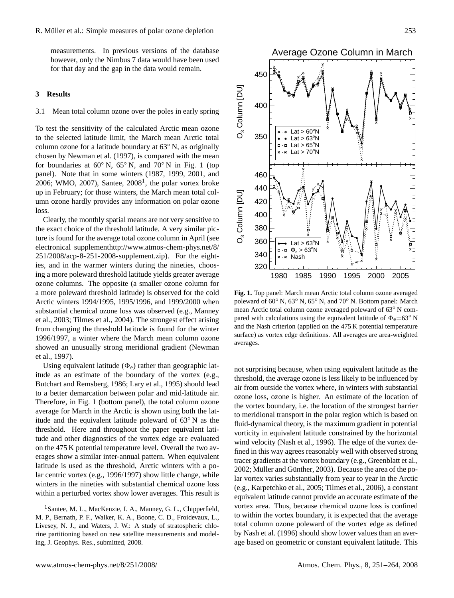measurements. In previous versions of the database however, only the Nimbus 7 data would have been used for that day and the gap in the data would remain.

## <span id="page-2-0"></span>**3 Results**

#### 3.1 Mean total column ozone over the poles in early spring

To test the sensitivity of the calculated Arctic mean ozone to the selected latitude limit, the March mean Arctic total column ozone for a latitude boundary at 63◦ N, as originally chosen by [Newman et al.](#page-12-9) [\(1997\)](#page-12-9), is compared with the mean for boundaries at  $60°$  N,  $65°$  N, and  $70°$  N in Fig. [1](#page-2-1) (top panel). Note that in some winters (1987, 1999, 2001, and 2006; [WMO,](#page-13-1) [2007\)](#page-13-1), Santee,  $2008<sup>1</sup>$  $2008<sup>1</sup>$  $2008<sup>1</sup>$ , the polar vortex broke up in February; for those winters, the March mean total column ozone hardly provides any information on polar ozone loss.

Clearly, the monthly spatial means are not very sensitive to the exact choice of the threshold latitude. A very similar picture is found for the average total ozone column in April (see electronical supplemen[thttp://www.atmos-chem-phys.net/8/](http://www.atmos-chem-phys.net/8/251/2008/acp-8-251-2008-supplement.zip) [251/2008/acp-8-251-2008-supplement.zip\)](http://www.atmos-chem-phys.net/8/251/2008/acp-8-251-2008-supplement.zip). For the eighties, and in the warmer winters during the nineties, choosing a more poleward threshold latitude yields greater average ozone columns. The opposite (a smaller ozone column for a more poleward threshold latitude) is observed for the cold Arctic winters 1994/1995, 1995/1996, and 1999/2000 when substantial chemical ozone loss was observed (e.g., [Manney](#page-12-1) [et al.,](#page-12-1) [2003;](#page-12-1) [Tilmes et al.,](#page-13-2) [2004\)](#page-13-2). The strongest effect arising from changing the threshold latitude is found for the winter 1996/1997, a winter where the March mean column ozone showed an unusually strong meridional gradient [\(Newman](#page-12-9) [et al.,](#page-12-9) [1997\)](#page-12-9).

Using equivalent latitude  $(\Phi_e)$  rather than geographic latitude as an estimate of the boundary of the vortex (e.g., [Butchart and Remsberg,](#page-11-9) [1986;](#page-11-9) [Lary et al.,](#page-12-13) [1995\)](#page-12-13) should lead to a better demarcation between polar and mid-latitude air. Therefore, in Fig. [1](#page-2-1) (bottom panel), the total column ozone average for March in the Arctic is shown using both the latitude and the equivalent latitude poleward of 63◦ N as the threshold. Here and throughout the paper equivalent latitude and other diagnostics of the vortex edge are evaluated on the 475 K potential temperature level. Overall the two averages show a similar inter-annual pattern. When equivalent latitude is used as the threshold, Arctic winters with a polar centric vortex (e.g., 1996/1997) show little change, while winters in the nineties with substantial chemical ozone loss within a perturbed vortex show lower averages. This result is



<span id="page-2-1"></span>**Fig. 1.** Top panel: March mean Arctic total column ozone averaged poleward of 60◦ N, 63◦ N, 65◦ N, and 70◦ N. Bottom panel: March mean Arctic total column ozone averaged poleward of 63◦ N compared with calculations using the equivalent latitude of  $\Phi_e=63^\circ$  N and the Nash criterion (applied on the 475 K potential temperature surface) as vortex edge definitions. All averages are area-weighted averages.

not surprising because, when using equivalent latitude as the threshold, the average ozone is less likely to be influenced by air from outside the vortex where, in winters with substantial ozone loss, ozone is higher. An estimate of the location of the vortex boundary, i.e. the location of the strongest barrier to meridional transport in the polar region which is based on fluid-dynamical theory, is the maximum gradient in potential vorticity in equivalent latitude constrained by the horizontal wind velocity [\(Nash et al.,](#page-12-14) [1996\)](#page-12-14). The edge of the vortex defined in this way agrees reasonably well with observed strong tracer gradients at the vortex boundary (e.g., [Greenblatt et al.,](#page-11-10) [2002;](#page-11-10) Müller and Günther, [2003\)](#page-12-15). Because the area of the polar vortex varies substantially from year to year in the Arctic (e.g., [Karpetchko et al.,](#page-12-11) [2005;](#page-12-11) [Tilmes et al.,](#page-13-0) [2006\)](#page-13-0), a constant equivalent latitude cannot provide an accurate estimate of the vortex area. Thus, because chemical ozone loss is confined to within the vortex boundary, it is expected that the average total column ozone poleward of the vortex edge as defined by [Nash et al.](#page-12-14) [\(1996\)](#page-12-14) should show lower values than an average based on geometric or constant equivalent latitude. This

<span id="page-2-2"></span><sup>&</sup>lt;sup>1</sup> Santee, M. L., MacKenzie, I. A., Manney, G. L., Chipperfield, M. P., Bernath, P. F., Walker, K. A., Boone, C. D., Froidevaux, L., Livesey, N. J., and Waters, J. W.: A study of stratospheric chlorine partitioning based on new satellite measurements and modeling, J. Geophys. Res., submitted, 2008.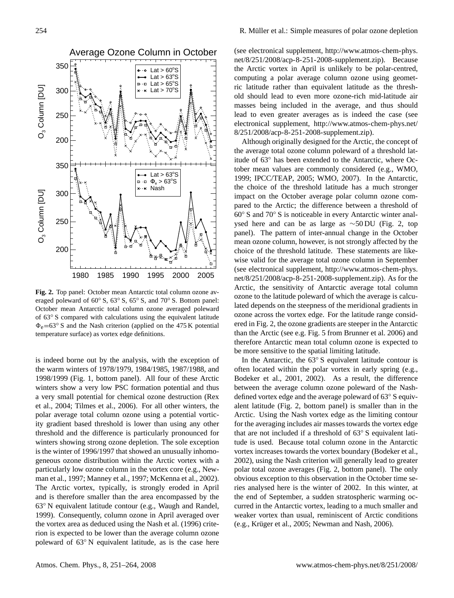

<span id="page-3-0"></span>**Fig. 2.** Top panel: October mean Antarctic total column ozone averaged poleward of 60◦ S, 63◦ S, 65◦ S, and 70◦ S. Bottom panel: October mean Antarctic total column ozone averaged poleward of 63◦ S compared with calculations using the equivalent latitude  $\Phi$ <sub>e</sub>=63<sup>°</sup> S and the Nash criterion (applied on the 475 K potential temperature surface) as vortex edge definitions.

is indeed borne out by the analysis, with the exception of the warm winters of 1978/1979, 1984/1985, 1987/1988, and 1998/1999 (Fig. [1,](#page-2-1) bottom panel). All four of these Arctic winters show a very low PSC formation potential and thus a very small potential for chemical ozone destruction [\(Rex](#page-13-6) [et al.,](#page-13-6) [2004;](#page-13-6) [Tilmes et al.,](#page-13-0) [2006\)](#page-13-0). For all other winters, the polar average total column ozone using a potential vorticity gradient based threshold is lower than using any other threshold and the difference is particularly pronounced for winters showing strong ozone depletion. The sole exception is the winter of 1996/1997 that showed an unusually inhomogeneous ozone distribution within the Arctic vortex with a particularly low ozone column in the vortex core (e.g., [New](#page-12-9)[man et al.,](#page-12-9) [1997;](#page-12-9) [Manney et al.,](#page-12-16) [1997;](#page-12-16) [McKenna et al.,](#page-12-17) [2002\)](#page-12-17). The Arctic vortex, typically, is strongly eroded in April and is therefore smaller than the area encompassed by the 63◦ N equivalent latitude contour (e.g., [Waugh and Randel,](#page-13-10) [1999\)](#page-13-10). Consequently, column ozone in April averaged over the vortex area as deduced using the [Nash et al.](#page-12-14) [\(1996\)](#page-12-14) criterion is expected to be lower than the average column ozone poleward of 63◦ N equivalent latitude, as is the case here

(see electronical supplement, [http://www.atmos-chem-phys.](http://www.atmos-chem-phys.net/8/251/2008/acp-8-251-2008-supplement.zip) [net/8/251/2008/acp-8-251-2008-supplement.zip\)](http://www.atmos-chem-phys.net/8/251/2008/acp-8-251-2008-supplement.zip). Because the Arctic vortex in April is unlikely to be polar-centred, computing a polar average column ozone using geometric latitude rather than equivalent latitude as the threshold should lead to even more ozone-rich mid-latitude air masses being included in the average, and thus should lead to even greater averages as is indeed the case (see electronical supplement, [http://www.atmos-chem-phys.net/](http://www.atmos-chem-phys.net/8/251/2008/acp-8-251-2008-supplement.zip) [8/251/2008/acp-8-251-2008-supplement.zip\)](http://www.atmos-chem-phys.net/8/251/2008/acp-8-251-2008-supplement.zip).

Although originally designed for the Arctic, the concept of the average total ozone column poleward of a threshold latitude of 63◦ has been extended to the Antarctic, where October mean values are commonly considered (e.g., [WMO,](#page-13-9) [1999;](#page-13-9) [IPCC/TEAP,](#page-11-7) [2005;](#page-11-7) [WMO,](#page-13-1) [2007\)](#page-13-1). In the Antarctic, the choice of the threshold latitude has a much stronger impact on the October average polar column ozone compared to the Arctic; the difference between a threshold of 60◦ S and 70◦ S is noticeable in every Antarctic winter analysed here and can be as large as ∼50 DU (Fig. [2,](#page-3-0) top panel). The pattern of inter-annual change in the October mean ozone column, however, is not strongly affected by the choice of the threshold latitude. These statements are likewise valid for the average total ozone column in September (see electronical supplement, [http://www.atmos-chem-phys.](http://www.atmos-chem-phys.net/8/251/2008/acp-8-251-2008-supplement.zip) [net/8/251/2008/acp-8-251-2008-supplement.zip\)](http://www.atmos-chem-phys.net/8/251/2008/acp-8-251-2008-supplement.zip). As for the Arctic, the sensitivity of Antarctic average total column ozone to the latitude poleward of which the average is calculated depends on the steepness of the meridional gradients in ozone across the vortex edge. For the latitude range considered in Fig. [2,](#page-3-0) the ozone gradients are steeper in the Antarctic than the Arctic (see e.g. Fig. 5 from [Brunner et al.](#page-11-11) [2006\)](#page-11-11) and therefore Antarctic mean total column ozone is expected to be more sensitive to the spatial limiting latitude.

In the Antarctic, the 63◦ S equivalent latitude contour is often located within the polar vortex in early spring (e.g., [Bodeker et al.,](#page-11-12) [2001,](#page-11-12) [2002\)](#page-11-13). As a result, the difference between the average column ozone poleward of the Nashdefined vortex edge and the average poleward of 63◦ S equivalent latitude (Fig. [2,](#page-3-0) bottom panel) is smaller than in the Arctic. Using the Nash vortex edge as the limiting contour for the averaging includes air masses towards the vortex edge that are not included if a threshold of 63◦ S equivalent latitude is used. Because total column ozone in the Antarctic vortex increases towards the vortex boundary [\(Bodeker et al.,](#page-11-13) [2002\)](#page-11-13), using the Nash criterion will generally lead to greater polar total ozone averages (Fig. [2,](#page-3-0) bottom panel). The only obvious exception to this observation in the October time series analysed here is the winter of 2002. In this winter, at the end of September, a sudden stratospheric warming occurred in the Antarctic vortex, leading to a much smaller and weaker vortex than usual, reminiscent of Arctic conditions  $(e.g., Krüger et al., 2005; Newman and Nash, 2006).$  $(e.g., Krüger et al., 2005; Newman and Nash, 2006).$  $(e.g., Krüger et al., 2005; Newman and Nash, 2006).$  $(e.g., Krüger et al., 2005; Newman and Nash, 2006).$  $(e.g., Krüger et al., 2005; Newman and Nash, 2006).$  $(e.g., Krüger et al., 2005; Newman and Nash, 2006).$  $(e.g., Krüger et al., 2005; Newman and Nash, 2006).$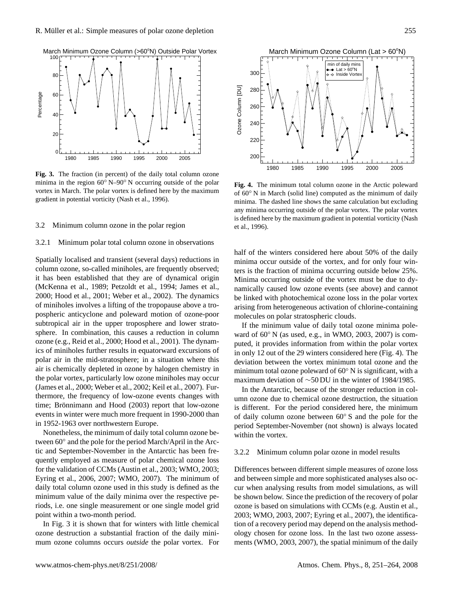

<span id="page-4-0"></span>**Fig. 3.** The fraction (in percent) of the daily total column ozone minima in the region 60◦ N–90◦ N occurring outside of the polar vortex in March. The polar vortex is defined here by the maximum gradient in potential vorticity [\(Nash et al.,](#page-12-14) [1996\)](#page-12-14).

#### 3.2 Minimum column ozone in the polar region

#### 3.2.1 Minimum polar total column ozone in observations

Spatially localised and transient (several days) reductions in column ozone, so-called miniholes, are frequently observed; it has been established that they are of dynamical origin [\(McKenna et al.,](#page-12-20) [1989;](#page-12-20) [Petzoldt et al.,](#page-12-21) [1994;](#page-12-21) [James et al.,](#page-12-22) [2000;](#page-12-22) [Hood et al.,](#page-11-14) [2001;](#page-11-14) [Weber et al.,](#page-13-11) [2002\)](#page-13-11). The dynamics of miniholes involves a lifting of the tropopause above a tropospheric anticyclone and poleward motion of ozone-poor subtropical air in the upper troposphere and lower stratosphere. In combination, this causes a reduction in column ozone (e.g., [Reid et al.,](#page-12-23) [2000;](#page-12-23) [Hood et al.,](#page-11-14) [2001\)](#page-11-14). The dynamics of miniholes further results in equatorward excursions of polar air in the mid-stratosphere; in a situation where this air is chemically depleted in ozone by halogen chemistry in the polar vortex, particularly low ozone miniholes may occur [\(James et al.,](#page-12-22) [2000;](#page-12-22) [Weber et al.,](#page-13-11) [2002;](#page-13-11) [Keil et al.,](#page-12-24) [2007\)](#page-12-24). Furthermore, the frequency of low-ozone events changes with time; Brönnimann and Hood [\(2003\)](#page-11-15) report that low-ozone events in winter were much more frequent in 1990-2000 than in 1952-1963 over northwestern Europe.

Nonetheless, the minimum of daily total column ozone between 60◦ and the pole for the period March/April in the Arctic and September-November in the Antarctic has been frequently employed as measure of polar chemical ozone loss for the validation of CCMs [\(Austin et al.,](#page-10-0) [2003;](#page-10-0) [WMO,](#page-13-7) [2003;](#page-13-7) [Eyring et al.,](#page-11-4) [2006,](#page-11-4) [2007;](#page-11-6) [WMO,](#page-13-1) [2007\)](#page-13-1). The minimum of daily total column ozone used in this study is defined as the minimum value of the daily minima over the respective periods, i.e. one single measurement or one single model grid point within a two-month period.

In Fig. [3](#page-4-0) it is shown that for winters with little chemical ozone destruction a substantial fraction of the daily minimum ozone columns occurs *outside* the polar vortex. For



<span id="page-4-1"></span>**Fig. 4.** The minimum total column ozone in the Arctic poleward of 60◦ N in March (solid line) computed as the minimum of daily minima. The dashed line shows the same calculation but excluding any minima occurring outside of the polar vortex. The polar vortex is defined here by the maximum gradient in potential vorticity [\(Nash](#page-12-14) [et al.,](#page-12-14) [1996\)](#page-12-14).

half of the winters considered here about 50% of the daily minima occur outside of the vortex, and for only four winters is the fraction of minima occurring outside below 25%. Minima occurring outside of the vortex must be due to dynamically caused low ozone events (see above) and cannot be linked with photochemical ozone loss in the polar vortex arising from heterogeneous activation of chlorine-containing molecules on polar stratospheric clouds.

If the minimum value of daily total ozone minima poleward of  $60°$  N (as used, e.g., in [WMO,](#page-13-7) [2003,](#page-13-7) [2007\)](#page-13-1) is computed, it provides information from within the polar vortex in only 12 out of the 29 winters considered here (Fig. [4\)](#page-4-1). The deviation between the vortex minimum total ozone and the minimum total ozone poleward of 60◦ N is significant, with a maximum deviation of ∼50 DU in the winter of 1984/1985.

In the Antarctic, because of the stronger reduction in column ozone due to chemical ozone destruction, the situation is different. For the period considered here, the minimum of daily column ozone between 60◦ S and the pole for the period September-November (not shown) is always located within the vortex.

### 3.2.2 Minimum column polar ozone in model results

Differences between different simple measures of ozone loss and between simple and more sophisticated analyses also occur when analysing results from model simulations, as will be shown below. Since the prediction of the recovery of polar ozone is based on simulations with CCMs (e.g. [Austin et al.,](#page-10-0) [2003;](#page-10-0) [WMO,](#page-13-7) [2003,](#page-13-7) [2007;](#page-13-1) [Eyring et al.,](#page-11-6) [2007\)](#page-11-6), the identification of a recovery period may depend on the analysis methodology chosen for ozone loss. In the last two ozone assessments [\(WMO,](#page-13-7) [2003,](#page-13-7) [2007\)](#page-13-1), the spatial minimum of the daily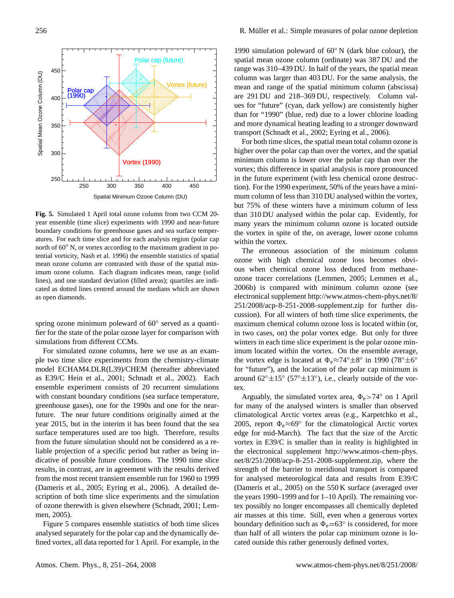

<span id="page-5-0"></span>**Fig. 5.** Simulated 1 April total ozone column from two CCM 20 year ensemble (time slice) experiments with 1990 and near-future boundary conditions for greenhouse gases and sea surface temperatures. For each time slice and for each analysis region (polar cap north of 60 $\degree$  N, or vortex according to the maximum gradient in potential vorticity, [Nash et al.](#page-12-14) [1996\)](#page-12-14) the ensemble statistics of spatial mean ozone column are contrasted with those of the spatial minimum ozone column. Each diagram indicates mean, range (solid lines), and one standard deviation (filled areas); quartiles are indicated as dotted lines centred around the medians which are shown as open diamonds.

spring ozone minimum poleward of 60° served as a quantifier for the state of the polar ozone layer for comparison with simulations from different CCMs.

For simulated ozone columns, here we use as an example two time slice experiments from the chemistry-climate model ECHAM4.DLR(L39)/CHEM (hereafter abbreviated as E39/C [Hein et al.,](#page-11-16) [2001;](#page-11-16) [Schnadt et al.,](#page-13-12) [2002\)](#page-13-12). Each ensemble experiment consists of 20 recurrent simulations with constant boundary conditions (sea surface temperature, greenhouse gases), one for the 1990s and one for the nearfuture. The near future conditions originally aimed at the year 2015, but in the interim it has been found that the sea surface temperatures used are too high. Therefore, results from the future simulation should not be considered as a reliable projection of a specific period but rather as being indicative of possible future conditions. The 1990 time slice results, in contrast, are in agreement with the results derived from the most recent transient ensemble run for 1960 to 1999 [\(Dameris et al.,](#page-11-17) [2005;](#page-11-17) [Eyring et al.,](#page-11-4) [2006\)](#page-11-4). A detailed description of both time slice experiments and the simulation of ozone therewith is given elsewhere [\(Schnadt,](#page-13-13) [2001;](#page-13-13) [Lem](#page-12-25)[men,](#page-12-25) [2005\)](#page-12-25).

Figure [5](#page-5-0) compares ensemble statistics of both time slices analysed separately for the polar cap and the dynamically defined vortex, all data reported for 1 April. For example, in the

1990 simulation poleward of 60◦ N (dark blue colour), the spatial mean ozone column (ordinate) was 387 DU and the range was 310–439 DU. In half of the years, the spatial mean column was larger than 403 DU. For the same analysis, the mean and range of the spatial minimum column (abscissa) are 291 DU and 218–369 DU, respectively. Column values for "future" (cyan, dark yellow) are consistently higher than for "1990" (blue, red) due to a lower chlorine loading and more dynamical heating leading to a stronger downward transport [\(Schnadt et al.,](#page-13-12) [2002;](#page-13-12) [Eyring et al.,](#page-11-4) [2006\)](#page-11-4).

For both time slices, the spatial mean total column ozone is higher over the polar cap than over the vortex, and the spatial minimum column is lower over the polar cap than over the vortex; this difference in spatial analysis is more pronounced in the future experiment (with less chemical ozone destruction). For the 1990 experiment, 50% of the years have a minimum column of less than 310 DU analysed within the vortex, but 75% of these winters have a minimum column of less than 310 DU analysed within the polar cap. Evidently, for many years the minimum column ozone is located outside the vortex in spite of the, on average, lower ozone column within the vortex.

The erroneous association of the minimum column ozone with high chemical ozone loss becomes obvious when chemical ozone loss deduced from methaneozone tracer correlations [\(Lemmen,](#page-12-25) [2005;](#page-12-25) [Lemmen et al.,](#page-12-7) [2006b\)](#page-12-7) is compared with minimum column ozone (see electronical supplement [http://www.atmos-chem-phys.net/8/](http://www.atmos-chem-phys.net/8/251/2008/acp-8-251-2008-supplement.zip) [251/2008/acp-8-251-2008-supplement.zip](http://www.atmos-chem-phys.net/8/251/2008/acp-8-251-2008-supplement.zip) for further discussion). For all winters of both time slice experiments, the maximum chemical column ozone loss is located within (or, in two cases, on) the polar vortex edge. But only for three winters in each time slice experiment is the polar ozone minimum located within the vortex. On the ensemble average, the vortex edge is located at  $\Phi_e \approx 74^\circ \pm 8^\circ$  in 1990 (78° $\pm 6^\circ$ for "future"), and the location of the polar cap minimum is around  $62^{\circ} \pm 15^{\circ}$  (57° $\pm 13^{\circ}$ ), i.e., clearly outside of the vortex.

Arguably, the simulated vortex area,  $\Phi_e > 74°$  on 1 April for many of the analysed winters is smaller than observed climatological Arctic vortex areas (e.g., [Karpetchko et al.,](#page-12-11) [2005,](#page-12-11) report  $\Phi_e \approx 69^\circ$  for the climatological Arctic vortex edge for mid-March). The fact that the size of the Arctic vortex in E39/C is smaller than in reality is highlighted in the electronical supplement [http://www.atmos-chem-phys.](http://www.atmos-chem-phys.net/8/251/2008/acp-8-251-2008-supplement.zip) [net/8/251/2008/acp-8-251-2008-supplement.zip,](http://www.atmos-chem-phys.net/8/251/2008/acp-8-251-2008-supplement.zip) where the strength of the barrier to meridional transport is compared for analysed meteorological data and results from E39/C [\(Dameris et al.,](#page-11-17) [2005\)](#page-11-17) on the 550 K surface (averaged over the years 1990–1999 and for 1–10 April). The remaining vortex possibly no longer encompasses all chemically depleted air masses at this time. Still, even when a generous vortex boundary definition such as  $\Phi_e = 63^\circ$  is considered, for more than half of all winters the polar cap minimum ozone is located outside this rather generously defined vortex.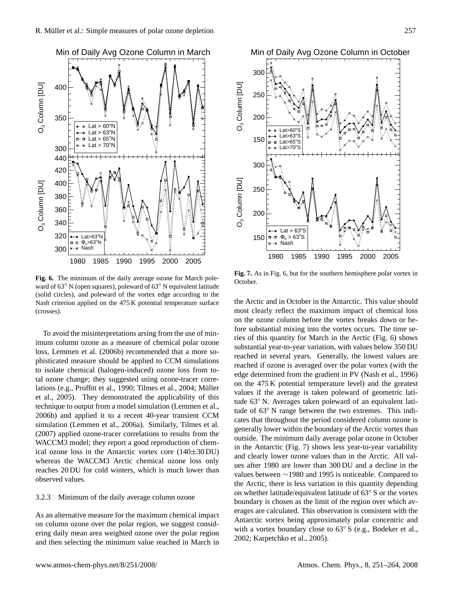

<span id="page-6-0"></span>**Fig. 6.** The minimum of the daily average ozone for March poleward of 63◦ N (open squares), poleward of 63◦ N equivalent latitude (solid circles), and poleward of the vortex edge according to the Nash criterion applied on the 475 K potential temperature surface (crosses).

To avoid the misinterpretations arsing from the use of minimum column ozone as a measure of chemical polar ozone loss, [Lemmen et al.](#page-12-7) [\(2006b\)](#page-12-7) recommended that a more sophisticated measure should be applied to CCM simulations to isolate chemical (halogen-induced) ozone loss from total ozone change; they suggested using ozone-tracer corre-lations (e.g., [Proffitt et al.,](#page-12-4) [1990;](#page-12-4) [Tilmes et al.,](#page-13-2) [2004;](#page-13-2) Müller [et al.,](#page-12-26) [2005\)](#page-12-26). They demonstrated the applicability of this technique to output from a model simulation [\(Lemmen et al.,](#page-12-7) [2006b\)](#page-12-7) and applied it to a recent 40-year transient CCM simulation [\(Lemmen et al.,](#page-12-27) [2006a\)](#page-12-27). Similarly, [Tilmes et al.](#page-13-14) [\(2007\)](#page-13-14) applied ozone-tracer correlations to results from the WACCM3 model; they report a good reproduction of chemical ozone loss in the Antarctic vortex core  $(140\pm30 \,\text{DU})$ whereas the WACCM3 Arctic chemical ozone loss only reaches 20 DU for cold winters, which is much lower than observed values.

# <span id="page-6-2"></span>3.2.3 Minimum of the daily average column ozone

As an alternative measure for the maximum chemical impact on column ozone over the polar region, we suggest considering daily mean area weighted ozone over the polar region and then selecting the minimum value reached in March in



<span id="page-6-1"></span>**Fig. 7.** As in Fig. [6,](#page-6-0) but for the southern hemisphere polar vortex in October.

the Arctic and in October in the Antarctic. This value should most clearly reflect the maximum impact of chemical loss on the ozone column before the vortex breaks down or before substantial mixing into the vortex occurs. The time series of this quantity for March in the Arctic (Fig. [6\)](#page-6-0) shows substantial year-to-year variation, with values below 350 DU reached in several years. Generally, the lowest values are reached if ozone is averaged over the polar vortex (with the edge determined from the gradient in PV [\(Nash et al.,](#page-12-14) [1996\)](#page-12-14) on the 475 K potential temperature level) and the greatest values if the average is taken poleward of geometric latitude 63◦ N. Averages taken poleward of an equivalent latitude of 63◦ N range between the two extremes. This indicates that throughout the period considered column ozone is generally lower within the boundary of the Arctic vortex than outside. The minimum daily average polar ozone in October in the Antarctic (Fig. [7\)](#page-6-1) shows less year-to-year variability and clearly lower ozone values than in the Arctic. All values after 1980 are lower than 300 DU and a decline in the values between ∼1980 and 1995 is noticeable. Compared to the Arctic, there is less variation in this quantity depending on whether latitude/equivalent latitude of 63◦ S or the vortex boundary is chosen as the limit of the region over which averages are calculated. This observation is consistent with the Antarctic vortex being approximately polar concentric and with a vortex boundary close to 63◦ S (e.g., [Bodeker et al.,](#page-11-13) [2002;](#page-11-13) [Karpetchko et al.,](#page-12-11) [2005\)](#page-12-11).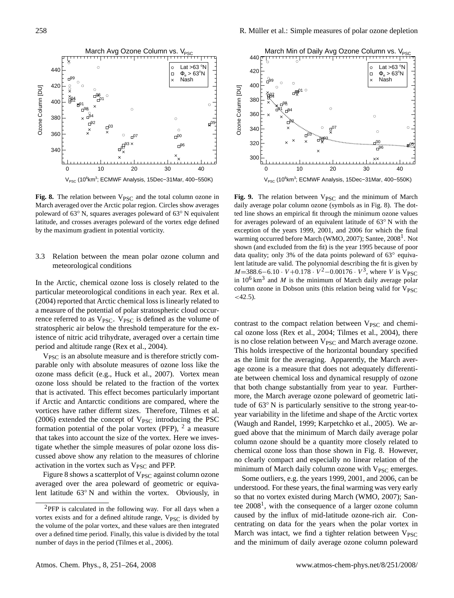

<span id="page-7-1"></span>**Fig. 8.** The relation between  $V_{PSC}$  and the total column ozone in March averaged over the Arctic polar region. Circles show averages poleward of 63◦ N, squares averages poleward of 63◦ N equivalent latitude, and crosses averages poleward of the vortex edge defined by the maximum gradient in potential vorticity.

# 3.3 Relation between the mean polar ozone column and meteorological conditions

In the Arctic, chemical ozone loss is closely related to the particular meteorological conditions in each year. [Rex et al.](#page-13-6) [\(2004\)](#page-13-6) reported that Arctic chemical loss is linearly related to a measure of the potential of polar stratospheric cloud occurrence referred to as  $V_{PSC}$ .  $V_{PSC}$  is defined as the volume of stratospheric air below the threshold temperature for the existence of nitric acid trihydrate, averaged over a certain time period and altitude range [\(Rex et al.,](#page-13-6) [2004\)](#page-13-6).

 $V_{PSC}$  is an absolute measure and is therefore strictly comparable only with absolute measures of ozone loss like the ozone mass deficit (e.g., [Huck et al.,](#page-11-0) [2007\)](#page-11-0). Vortex mean ozone loss should be related to the fraction of the vortex that is activated. This effect becomes particularly important if Arctic and Antarctic conditions are compared, where the vortices have rather differnt sizes. Therefore, [Tilmes et al.](#page-13-0) [\(2006\)](#page-13-0) extended the concept of  $V_{PSC}$  introducing the PSC formation potential of the polar vortex (PFP),  $<sup>2</sup>$  $<sup>2</sup>$  $<sup>2</sup>$  a measure</sup> that takes into account the size of the vortex. Here we investigate whether the simple measures of polar ozone loss discussed above show any relation to the measures of chlorine activation in the vortex such as  $V_{PSC}$  and PFP.

Figure [8](#page-7-1) shows a scatterplot of V<sub>PSC</sub> against column ozone averaged over the area poleward of geometric or equivalent latitude 63◦ N and within the vortex. Obviously, in



<span id="page-7-2"></span>Fig. 9. The relation between V<sub>PSC</sub> and the minimum of March daily average polar column ozone (symbols as in Fig. [8\)](#page-7-1). The dotted line shows an empirical fit through the minimum ozone values for averages poleward of an equivalent latitude of 63◦ N with the exception of the years 1999, 2001, and 2006 for which the final warming occurred before March [\(WMO,](#page-13-1) [2007\)](#page-13-1); Santee, 2008<sup>[1](#page-2-2)</sup>. Not shown (and excluded from the fit) is the year 1995 because of poor data quality; only 3% of the data points poleward of 63° equivalent latitude are valid. The polynomial describing the fit is given by  $M=388.6-6.10 \cdot V+0.178 \cdot V^2-0.00176 \cdot V^3$ , where V is V<sub>PSC</sub> in  $10^6$  km<sup>3</sup> and M is the minimum of March daily average polar column ozone in Dobson units (this relation being valid for  $V_{PSC}$  $<$ 42.5).

contrast to the compact relation between  $V_{PSC}$  and chemical ozone loss [\(Rex et al.,](#page-13-6) [2004;](#page-13-6) [Tilmes et al.,](#page-13-2) [2004\)](#page-13-2), there is no close relation between  $V_{PSC}$  and March average ozone. This holds irrespective of the horizontal boundary specified as the limit for the averaging. Apparently, the March average ozone is a measure that does not adequately differentiate between chemical loss and dynamical resupply of ozone that both change substantially from year to year. Furthermore, the March average ozone poleward of geometric latitude of 63◦ N is particularly sensitive to the strong year-toyear variability in the lifetime and shape of the Arctic vortex [\(Waugh and Randel,](#page-13-10) [1999;](#page-13-10) [Karpetchko et al.,](#page-12-11) [2005\)](#page-12-11). We argued above that the minimum of March daily average polar column ozone should be a quantity more closely related to chemical ozone loss than those shown in Fig. [8.](#page-7-1) However, no clearly compact and especially no linear relation of the minimum of March daily column ozone with  $V_{PSC}$  emerges.

Some outliers, e.g. the years 1999, 2001, and 2006, can be understood. For these years, the final warming was very early so that no vortex existed during March [\(WMO,](#page-13-1) [2007\)](#page-13-1); Santee  $2008<sup>1</sup>$  $2008<sup>1</sup>$  $2008<sup>1</sup>$ , with the consequence of a larger ozone column caused by the influx of mid-latitude ozone-rich air. Concentrating on data for the years when the polar vortex in March was intact, we find a tighter relation between  $V_{PSC}$ and the minimum of daily average ozone column poleward

<span id="page-7-0"></span><sup>&</sup>lt;sup>2</sup>PFP is calculated in the following way. For all days when a vortex exists and for a defined altitude range,  $V_{PSC}$  is divided by the volume of the polar vortex, and these values are then integrated over a defined time period. Finally, this value is divided by the total number of days in the period [\(Tilmes et al.,](#page-13-0) [2006\)](#page-13-0).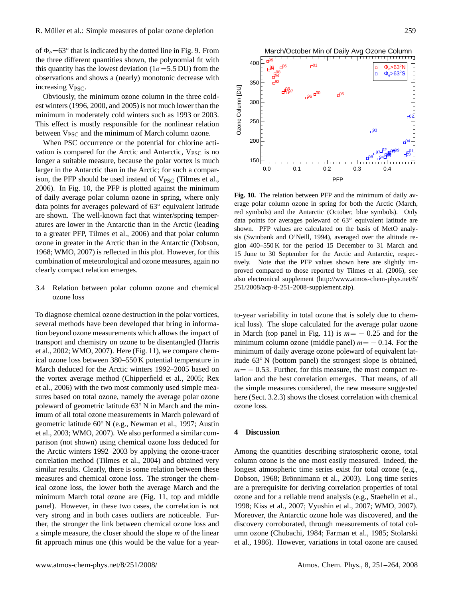of  $\Phi_e$ =63° that is indicated by the dotted line in Fig. [9.](#page-7-2) From the three different quantities shown, the polynomial fit with this quantity has the lowest deviation ( $1\sigma = 5.5$  DU) from the observations and shows a (nearly) monotonic decrease with increasing  $V_{PSC}$ .

Obviously, the minimum ozone column in the three coldest winters (1996, 2000, and 2005) is not much lower than the minimum in moderately cold winters such as 1993 or 2003. This effect is mostly responsible for the nonlinear relation between  $V_{PSC}$  and the minimum of March column ozone.

When PSC occurrence or the potential for chlorine activation is compared for the Arctic and Antarctic,  $V_{PSC}$  is no longer a suitable measure, because the polar vortex is much larger in the Antarctic than in the Arctic; for such a comparison, the PFP should be used instead of  $V_{PSC}$  [\(Tilmes et al.,](#page-13-0) [2006\)](#page-13-0). In Fig. [10,](#page-8-0) the PFP is plotted against the minimum of daily average polar column ozone in spring, where only data points for averages poleward of 63◦ equivalent latitude are shown. The well-known fact that winter/spring temperatures are lower in the Antarctic than in the Arctic (leading to a greater PFP, [Tilmes et al.,](#page-13-0) [2006\)](#page-13-0) and that polar column ozone in greater in the Arctic than in the Antarctic [\(Dobson,](#page-11-18) [1968;](#page-11-18) [WMO,](#page-13-1) [2007\)](#page-13-1) is reflected in this plot. However, for this combination of meteorological and ozone measures, again no clearly compact relation emerges.

3.4 Relation between polar column ozone and chemical ozone loss

To diagnose chemical ozone destruction in the polar vortices, several methods have been developed that bring in information beyond ozone measurements which allows the impact of transport and chemistry on ozone to be disentangled [\(Harris](#page-11-1) [et al.,](#page-11-1) [2002;](#page-11-1) [WMO,](#page-13-1) [2007\)](#page-13-1). Here (Fig. [11\)](#page-9-0), we compare chemical ozone loss between 380–550 K potential temperature in March deduced for the Arctic winters 1992–2005 based on the vortex average method [\(Chipperfield et al.,](#page-11-19) [2005;](#page-11-19) [Rex](#page-13-3) [et al.,](#page-13-3) [2006\)](#page-13-3) with the two most commonly used simple measures based on total ozone, namely the average polar ozone poleward of geometric latitude 63◦ N in March and the minimum of all total ozone measurements in March poleward of geometric latitude 60◦ N (e.g., [Newman et al.,](#page-12-9) [1997;](#page-12-9) [Austin](#page-10-0) [et al.,](#page-10-0) [2003;](#page-10-0) [WMO,](#page-13-1) [2007\)](#page-13-1). We also performed a similar comparison (not shown) using chemical ozone loss deduced for the Arctic winters 1992–2003 by applying the ozone-tracer correlation method [\(Tilmes et al.,](#page-13-2) [2004\)](#page-13-2) and obtained very similar results. Clearly, there is some relation between these measures and chemical ozone loss. The stronger the chemical ozone loss, the lower both the average March and the minimum March total ozone are (Fig. [11,](#page-9-0) top and middle panel). However, in these two cases, the correlation is not very strong and in both cases outliers are noticeable. Further, the stronger the link between chemical ozone loss and a simple measure, the closer should the slope m of the linear fit approach minus one (this would be the value for a year-



<span id="page-8-0"></span>**Fig. 10.** The relation between PFP and the minimum of daily average polar column ozone in spring for both the Arctic (March, red symbols) and the Antarctic (October, blue symbols). Only data points for averages poleward of 63◦ equivalent latitude are shown. PFP values are calculated on the basis of MetO analysis [\(Swinbank and O'Neill,](#page-13-15) [1994\)](#page-13-15), averaged over the altitude region 400–550 K for the period 15 December to 31 March and 15 June to 30 September for the Arctic and Antarctic, respectively. Note that the PFP values shown here are slightly improved compared to those reported by [Tilmes et al.](#page-13-0) [\(2006\)](#page-13-0), see also electronical supplement [\(http://www.atmos-chem-phys.net/8/](http://www.atmos-chem-phys.net/8/251/2008/acp-8-251-2008-supplement.zip) [251/2008/acp-8-251-2008-supplement.zip\)](http://www.atmos-chem-phys.net/8/251/2008/acp-8-251-2008-supplement.zip).

to-year variability in total ozone that is solely due to chemical loss). The slope calculated for the average polar ozone in March (top panel in Fig. [11\)](#page-9-0) is  $m = -0.25$  and for the minimum column ozone (middle panel)  $m = -0.14$ . For the minimum of daily average ozone poleward of equivalent latitude 63◦ N (bottom panel) the strongest slope is obtained,  $m = -0.53$ . Further, for this measure, the most compact relation and the best correlation emerges. That means, of all the simple measures considered, the new measure suggested here (Sect. [3.2.3\)](#page-6-2) shows the closest correlation with chemical ozone loss.

#### **4 Discussion**

Among the quantities describing stratospheric ozone, total column ozone is the one most easily measured. Indeed, the longest atmospheric time series exist for total ozone (e.g., [Dobson,](#page-11-18) [1968;](#page-11-18) Brönnimann et al., [2003\)](#page-11-20). Long time series are a prerequisite for deriving correlation properties of total ozone and for a reliable trend analysis (e.g., [Staehelin et al.,](#page-13-16) [1998;](#page-13-16) [Kiss et al.,](#page-12-28) [2007;](#page-12-28) [Vyushin et al.,](#page-13-17) [2007;](#page-13-17) [WMO,](#page-13-1) [2007\)](#page-13-1). Moreover, the Antarctic ozone hole was discovered, and the discovery corroborated, through measurements of total column ozone [\(Chubachi,](#page-11-21) [1984;](#page-11-21) [Farman et al.,](#page-11-22) [1985;](#page-11-22) [Stolarski](#page-13-18) [et al.,](#page-13-18) [1986\)](#page-13-18). However, variations in total ozone are caused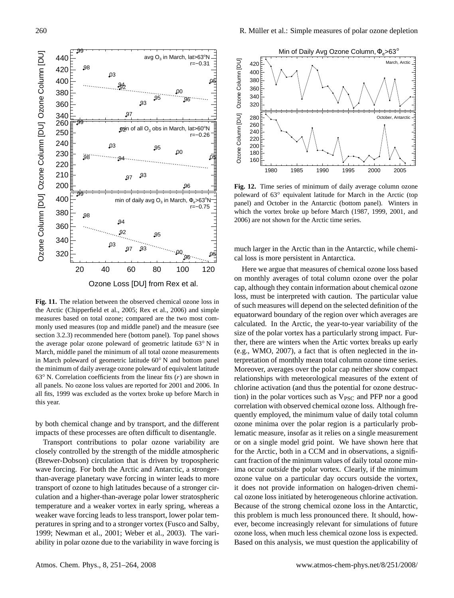

20 40 60 80 100 120 Ozone Loss [DU] from Rex et al.

<span id="page-9-0"></span>**Fig. 11.** The relation between the observed chemical ozone loss in the Arctic [\(Chipperfield et al.,](#page-11-19) [2005;](#page-11-19) [Rex et al.,](#page-13-3) [2006\)](#page-13-3) and simple measures based on total ozone; compared are the two most commonly used measures (top and middle panel) and the measure (see section [3.2.3\)](#page-6-2) recommended here (bottom panel). Top panel shows the average polar ozone poleward of geometric latitude 63◦ N in March, middle panel the minimum of all total ozone measurements in March poleward of geometric latitude 60◦ N and bottom panel the minimum of daily average ozone poleward of equivalent latitude 63 $\degree$  N. Correlation coefficients from the linear fits (*r*) are shown in all panels. No ozone loss values are reported for 2001 and 2006. In all fits, 1999 was excluded as the vortex broke up before March in this year.

by both chemical change and by transport, and the different impacts of these processes are often difficult to disentangle.

Transport contributions to polar ozone variability are closely controlled by the strength of the middle atmospheric (Brewer-Dobson) circulation that is driven by tropospheric wave forcing. For both the Arctic and Antarctic, a strongerthan-average planetary wave forcing in winter leads to more transport of ozone to high latitudes because of a stronger circulation and a higher-than-average polar lower stratospheric temperature and a weaker vortex in early spring, whereas a weaker wave forcing leads to less transport, lower polar temperatures in spring and to a stronger vortex [\(Fusco and Salby,](#page-11-23) [1999;](#page-11-23) [Newman et al.,](#page-12-29) [2001;](#page-12-29) [Weber et al.,](#page-13-19) [2003\)](#page-13-19). The variability in polar ozone due to the variability in wave forcing is



<span id="page-9-1"></span>**Fig. 12.** Time series of minimum of daily average column ozone poleward of 63° equivalent latitude for March in the Arctic (top panel) and October in the Antarctic (bottom panel). Winters in which the vortex broke up before March (1987, 1999, 2001, and 2006) are not shown for the Arctic time series.

much larger in the Arctic than in the Antarctic, while chemical loss is more persistent in Antarctica.

Here we argue that measures of chemical ozone loss based on monthly averages of total column ozone over the polar cap, although they contain information about chemical ozone loss, must be interpreted with caution. The particular value of such measures will depend on the selected definition of the equatorward boundary of the region over which averages are calculated. In the Arctic, the year-to-year variability of the size of the polar vortex has a particularly strong impact. Further, there are winters when the Artic vortex breaks up early (e.g., [WMO,](#page-13-1) [2007\)](#page-13-1), a fact that is often neglected in the interpretation of monthly mean total column ozone time series. Moreover, averages over the polar cap neither show compact relationships with meteorological measures of the extent of chlorine activation (and thus the potential for ozone destruction) in the polar vortices such as  $V_{PSC}$  and PFP nor a good correlation with observed chemical ozone loss. Although frequently employed, the minimum value of daily total column ozone minima over the polar region is a particularly problematic measure, insofar as it relies on a single measurement or on a single model grid point. We have shown here that for the Arctic, both in a CCM and in observations, a significant fraction of the minimum values of daily total ozone minima occur *outside* the polar vortex. Clearly, if the minimum ozone value on a particular day occurs outside the vortex, it does not provide information on halogen-driven chemical ozone loss initiated by heterogeneous chlorine activation. Because of the strong chemical ozone loss in the Antarctic, this problem is much less pronounced there. It should, however, become increasingly relevant for simulations of future ozone loss, when much less chemical ozone loss is expected. Based on this analysis, we must question the applicability of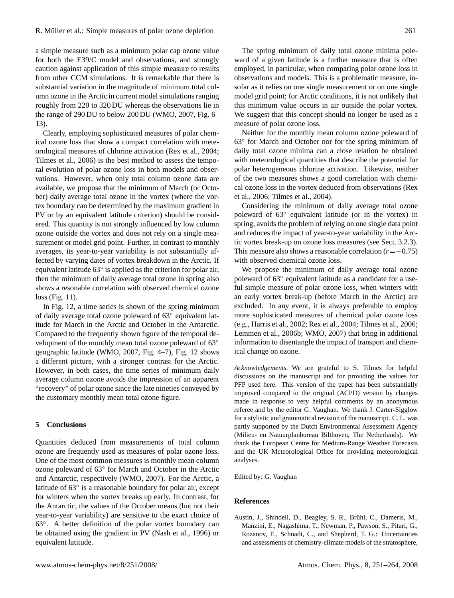a simple measure such as a minimum polar cap ozone value for both the E39/C model and observations, and strongly caution against application of this simple measure to results from other CCM simulations. It is remarkable that there is substantial variation in the magnitude of minimum total column ozone in the Arctic in current model simulations ranging roughly from 220 to 320 DU whereas the observations lie in the range of 290 DU to below 200 DU [\(WMO,](#page-13-1) [2007,](#page-13-1) Fig. 6– 13).

Clearly, employing sophisticated measures of polar chemical ozone loss that show a compact correlation with meteorological measures of chlorine activation [\(Rex et al.,](#page-13-6) [2004;](#page-13-6) [Tilmes et al.,](#page-13-0) [2006\)](#page-13-0) is the best method to assess the temporal evolution of polar ozone loss in both models and observations. However, when only total column ozone data are available, we propose that the minimum of March (or October) daily average total ozone in the vortex (where the vortex boundary can be determined by the maximum gradient in PV or by an equivalent latitude criterion) should be considered. This quantity is not strongly influenced by low column ozone outside the vortex and does not rely on a single measurement or model grid point. Further, in contrast to monthly averages, its year-to-year variability is not substantially affected by varying dates of vortex breakdown in the Arctic. If equivalent latitude 63° is applied as the criterion for polar air, then the minimum of daily average total ozone in spring also shows a resonable correlation with observed chemical ozone loss (Fig. [11\)](#page-9-0).

In Fig. [12,](#page-9-1) a time series is shown of the spring minimum of daily average total ozone poleward of 63° equivalent latitude for March in the Arctic and October in the Antarctic. Compared to the frequently shown figure of the temporal development of the monthly mean total ozone poleward of 63° geographic latitude [\(WMO,](#page-13-1) [2007,](#page-13-1) Fig. 4–7), Fig. [12](#page-9-1) shows a different picture, with a stronger contrast for the Arctic. However, in both cases, the time series of minimum daily average column ozone avoids the impression of an apparent "recovery" of polar ozone since the late nineties conveyed by the customary monthly mean total ozone figure.

## **5 Conclusions**

Quantities deduced from measurements of total column ozone are frequently used as measures of polar ozone loss. One of the most common measures is monthly mean column ozone poleward of 63◦ for March and October in the Arctic and Antarctic, respectively [\(WMO,](#page-13-1) [2007\)](#page-13-1). For the Arctic, a latitude of 63° is a reasonable boundary for polar air, except for winters when the vortex breaks up early. In contrast, for the Antarctic, the values of the October means (but not their year-to-year variability) are sensitive to the exact choice of 63◦ . A better definition of the polar vortex boundary can be obtained using the gradient in PV [\(Nash et al.,](#page-12-14) [1996\)](#page-12-14) or equivalent latitude.

The spring minimum of daily total ozone minima poleward of a given latitude is a further measure that is often employed, in particular, when comparing polar ozone loss in observations and models. This is a problematic measure, insofar as it relies on one single measurement or on one single model grid point; for Arctic conditions, it is not unlikely that this minimum value occurs in air outside the polar vortex. We suggest that this concept should no longer be used as a measure of polar ozone loss.

Neither for the monthly mean column ozone poleward of 63◦ for March and October nor for the spring minimum of daily total ozone minima can a close relation be obtained with meteorological quantities that describe the potential for polar heterogeneous chlorine activation. Likewise, neither of the two measures shows a good correlation with chemical ozone loss in the vortex deduced from observations [\(Rex](#page-13-3) [et al.,](#page-13-3) [2006;](#page-13-3) [Tilmes et al.,](#page-13-2) [2004\)](#page-13-2).

Considering the minimum of daily average total ozone poleward of 63◦ equivalent latitude (or in the vortex) in spring, avoids the problem of relying on one single data point and reduces the impact of year-to-year variability in the Arctic vortex break-up on ozone loss measures (see Sect. [3.2.3\)](#page-6-2). This measure also shows a reasonable correlation  $(r=-0.75)$ with observed chemical ozone loss.

We propose the minimum of daily average total ozone poleward of 63° equivalent latitude as a candidate for a useful simple measure of polar ozone loss, when winters with an early vortex break-up (before March in the Arctic) are excluded. In any event, it is always preferable to employ more sophisticated measures of chemical polar ozone loss (e.g., [Harris et al.,](#page-11-1) [2002;](#page-11-1) [Rex et al.,](#page-13-6) [2004;](#page-13-6) [Tilmes et al.,](#page-13-0) [2006;](#page-13-0) [Lemmen et al.,](#page-12-7) [2006b;](#page-12-7) [WMO,](#page-13-1) [2007\)](#page-13-1) that bring in additional information to disentangle the impact of transport and chemical change on ozone.

*Acknowledgements.* We are grateful to S. Tilmes for helpful discussions on the manuscript and for providing the values for PFP used here. This version of the paper has been substantially improved compared to the original (ACPD) version by changes made in response to very helpful comments by an anonymous referee and by the editor G. Vaughan. We thank J. Carter-Sigglow for a stylistic and grammatical revision of the manuscript. C. L. was partly supported by the Dutch Environmental Assessment Agency (Milieu- en Natuurplanbureau Bilthoven, The Netherlands). We thank the European Centre for Medium-Range Weather Forecasts and the UK Meteorological Office for providing meteorological analyses.

Edited by: G. Vaughan

# **References**

<span id="page-10-0"></span>Austin, J., Shindell, D., Beagley, S. R., Brühl, C., Dameris, M., Manzini, E., Nagashima, T., Newman, P., Pawson, S., Pitari, G., Rozanov, E., Schnadt, C., and Shepherd, T. G.: Uncertainties and assessments of chemistry-climate models of the stratosphere,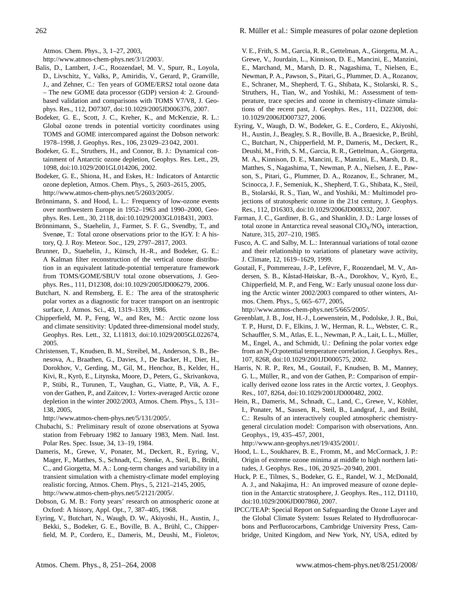262 **R. Müller et al.: Simple measures of polar ozone depletion R.** Müller et al.: Simple measures of polar ozone depletion

Atmos. Chem. Phys., 3, 1–27, 2003,

[http://www.atmos-chem-phys.net/3/1/2003/.](http://www.atmos-chem-phys.net/3/1/2003/)

- <span id="page-11-8"></span>Balis, D., Lambert, J.-C., Roozendael, M. V., Spurr, R., Loyola, D., Livschitz, Y., Valks, P., Amiridis, V., Gerard, P., Granville, J., and Zehner, C.: Ten years of GOME/ERS2 total ozone data – The new GOME data processor (GDP) version 4: 2. Groundbased validation and comparisons with TOMS V7/V8, J. Geophys. Res., 112, D07307, doi:10.1029/2005JD006376, 2007.
- <span id="page-11-12"></span>Bodeker, G. E., Scott, J. C., Kreher, K., and McKenzie, R. L.: Global ozone trends in potential vorticity coordinates using TOMS and GOME intercompared against the Dobson network: 1978–1998, J. Geophys. Res., 106, 23 029–23 042, 2001.
- <span id="page-11-13"></span>Bodeker, G. E., Struthers, H., and Connor, B. J.: Dynamical containment of Antarctic ozone depletion, Geophys. Res. Lett., 29, 1098, doi:10.1029/2001GL014206, 2002.
- <span id="page-11-5"></span>Bodeker, G. E., Shiona, H., and Eskes, H.: Indicators of Antarctic ozone depletion, Atmos. Chem. Phys., 5, 2603–2615, 2005, [http://www.atmos-chem-phys.net/5/2603/2005/.](http://www.atmos-chem-phys.net/5/2603/2005/)
- <span id="page-11-15"></span>Brönnimann, S. and Hood, L. L.: Frequency of low-ozone events over northwestern Europe in 1952–1963 and 1990–2000, Geophys. Res. Lett., 30, 2118, doi:10.1029/2003GL018431, 2003.
- <span id="page-11-20"></span>Brönnimann, S., Staehelin, J., Farmer, S. F. G., Svendby, T., and Svenøe, T.: Total ozone observations prior to the IGY. I: A history, Q. J. Roy. Meteor. Soc., 129, 2797–2817, 2003.
- <span id="page-11-11"></span>Brunner, D., Staehelin, J., Künsch, H.-R., and Bodeker, G. E.: A Kalman filter reconstruction of the vertical ozone distribution in an equivalent latitude-potential temperature framework from TOMS/GOME/SBUV total ozone observations, J. Geophys. Res., 111, D12308, doi:10.1029/2005JD006279, 2006.
- <span id="page-11-9"></span>Butchart, N. and Remsberg, E. E.: The area of the stratospheric polar vortex as a diagnostic for tracer transport on an isentropic surface, J. Atmos. Sci., 43, 1319–1339, 1986.
- <span id="page-11-19"></span>Chipperfield, M. P., Feng, W., and Rex, M.: Arctic ozone loss and climate sensitivity: Updated three-dimensional model study, Geophys. Res. Lett., 32, L11813, doi:10.1029/2005GL022674, 2005.
- <span id="page-11-2"></span>Christensen, T., Knudsen, B. M., Streibel, M., Anderson, S. B., Benesova, A., Braathen, G., Davies, J., De Backer, H., Dier, H., Dorokhov, V., Gerding, M., Gil, M., Henchoz, B., Kelder, H., Kivi, R., Kyrö, E., Litynska, Moore, D., Peters, G., Skrivankova, P., Stübi, R., Turunen, T., Vaughan, G., Viatte, P., Vik, A. F., von der Gathen, P., and Zaitcev, I.: Vortex-averaged Arctic ozone depletion in the winter 2002/2003, Atmos. Chem. Phys., 5, 131– 138, 2005,

[http://www.atmos-chem-phys.net/5/131/2005/.](http://www.atmos-chem-phys.net/5/131/2005/)

- <span id="page-11-21"></span>Chubachi, S.: Preliminary result of ozone observations at Syowa station from February 1982 to January 1983, Mem. Natl. Inst. Polar Res. Spec. Issue, 34, 13–19, 1984.
- <span id="page-11-17"></span>Dameris, M., Grewe, V., Ponater, M., Deckert, R., Eyring, V., Mager, F., Matthes, S., Schnadt, C., Stenke, A., Steil, B., Brühl, C., and Giorgetta, M. A.: Long-term changes and variability in a transient simulation with a chemistry-climate model employing realistic forcing, Atmos. Chem. Phys., 5, 2121–2145, 2005, [http://www.atmos-chem-phys.net/5/2121/2005/.](http://www.atmos-chem-phys.net/5/2121/2005/)
- <span id="page-11-18"></span>Dobson, G. M. B.: Forty years' research on atmospheric ozone at Oxford: A history, Appl. Opt., 7, 387–405, 1968.
- <span id="page-11-4"></span>Eyring, V., Butchart, N., Waugh, D. W., Akiyoshi, H., Austin, J., Bekki, S., Bodeker, G. E., Boville, B. A., Brühl, C., Chipperfield, M. P., Cordero, E., Dameris, M., Deushi, M., Fioletov,

V. E., Frith, S. M., Garcia, R. R., Gettelman, A., Giorgetta, M. A., Grewe, V., Jourdain, L., Kinnison, D. E., Mancini, E., Manzini, E., Marchand, M., Marsh, D. R., Nagashima, T., Nielsen, E., Newman, P. A., Pawson, S., Pitari, G., Plummer, D. A., Rozanov, E., Schraner, M., Shepherd, T. G., Shibata, K., Stolarski, R. S., Struthers, H., Tian, W., and Yoshiki, M.: Assessment of temperature, trace species and ozone in chemistry-climate simulations of the recent past, J. Geophys. Res., 111, D22308, doi: 10.1029/2006JD007327, 2006.

- <span id="page-11-6"></span>Eyring, V., Waugh, D. W., Bodeker, G. E., Cordero, E., Akiyoshi, H., Austin, J., Beagley, S. R., Boville, B. A., Braesicke, P., Brühl, C., Butchart, N., Chipperfield, M. P., Dameris, M., Deckert, R., Deushi, M., Frith, S. M., Garcia, R. R., Gettelman, A., Giorgetta, M. A., Kinnison, D. E., Mancini, E., Manzini, E., Marsh, D. R., Matthes, S., Nagashima, T., Newman, P. A., Nielsen, J. E., Pawson, S., Pitari, G., Plummer, D. A., Rozanov, E., Schraner, M., Scinocca, J. F., Semeniuk, K., Shepherd, T. G., Shibata, K., Steil, B., Stolarski, R. S., Tian, W., and Yoshiki, M.: Multimodel projections of stratospheric ozone in the 21st century, J. Geophys. Res., 112, D16303, doi:10.1029/2006JD008332, 2007.
- <span id="page-11-22"></span>Farman, J. C., Gardiner, B. G., and Shanklin, J. D.: Large losses of total ozone in Antarctica reveal seasonal  $ClO_X/NO_X$  interaction, Nature, 315, 207–210, 1985.
- <span id="page-11-23"></span>Fusco, A. C. and Salby, M. L.: Interannual variations of total ozone and their relationship to variations of planetary wave activity, J. Climate, 12, 1619–1629, 1999.
- <span id="page-11-3"></span>Goutail, F., Pommereau, J.-P., Lefèvre, F., Roozendael, M. V., Andersen, S. B., Kåstad-Høiskar, B.-A., Dorokhov, V., Kyrö, E., Chipperfield, M. P., and Feng, W.: Early unusual ozone loss during the Arctic winter 2002/2003 compared to other winters, Atmos. Chem. Phys., 5, 665–677, 2005,

[http://www.atmos-chem-phys.net/5/665/2005/.](http://www.atmos-chem-phys.net/5/665/2005/)

- <span id="page-11-10"></span>Greenblatt, J. B., Jost, H.-J., Loewenstein, M., Podolske, J. R., Bui, T. P., Hurst, D. F., Elkins, J. W., Herman, R. L., Webster, C. R., Schauffler, S. M., Atlas, E. L., Newman, P. A., Lait, L. L., Müller, M., Engel, A., and Schmidt, U.: Defining the polar vortex edge from an N2O:potential temperature correlation, J. Geophys. Res., 107, 8268, doi:10.1029/2001JD000575, 2002.
- <span id="page-11-1"></span>Harris, N. R. P., Rex, M., Goutail, F., Knudsen, B. M., Manney, G. L., Müller, R., and von der Gathen, P.: Comparison of empirically derived ozone loss rates in the Arctic vortex, J. Geophys. Res., 107, 8264, doi:10.1029/2001JD000482, 2002.
- <span id="page-11-16"></span>Hein, R., Dameris, M., Schnadt, C., Land, C., Grewe, V., Köhler, I., Ponater, M., Sausen, R., Steil, B., Landgraf, J., and Brühl, C.: Results of an interactively coupled atmospheric chemistrygeneral circulation model: Comparison with observations, Ann. Geophys., 19, 435–457, 2001,

[http://www.ann-geophys.net/19/435/2001/.](http://www.ann-geophys.net/19/435/2001/)

- <span id="page-11-14"></span>Hood, L. L., Soukharev, B. E., Fromm, M., and McCormack, J. P.: Origin of extreme ozone minima at middle to high northern latitudes, J. Geophys. Res., 106, 20 925–20 940, 2001.
- <span id="page-11-0"></span>Huck, P. E., Tilmes, S., Bodeker, G. E., Randel, W. J., McDonald, A. J., and Nakajima, H.: An improved measure of ozone depletion in the Antarctic stratosphere, J. Geophys. Res., 112, D1110, doi:10.1029/2006JD007860, 2007.
- <span id="page-11-7"></span>IPCC/TEAP: Special Report on Safeguarding the Ozone Layer and the Global Climate System: Issues Related to Hydrofluorocarbons and Perfluorocarbons, Cambridge University Press, Cambridge, United Kingdom, and New York, NY, USA, edited by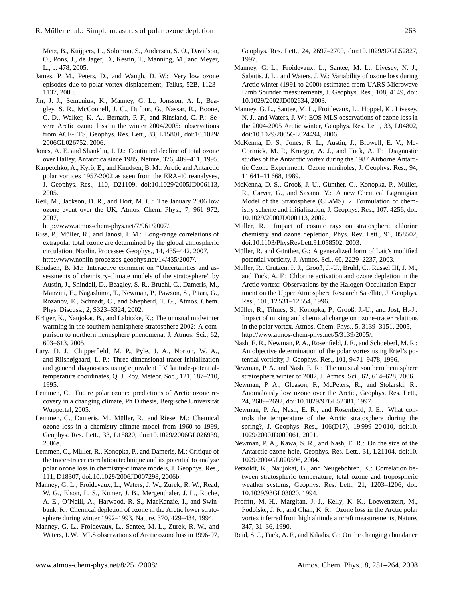Metz, B., Kuijpers, L., Solomon, S., Andersen, S. O., Davidson, O., Pons, J., de Jager, D., Kestin, T., Manning, M., and Meyer, L., p. 478, 2005.

- <span id="page-12-22"></span>James, P. M., Peters, D., and Waugh, D. W.: Very low ozone episodes due to polar vortex displacement, Tellus, 52B, 1123– 1137, 2000.
- <span id="page-12-3"></span>Jin, J. J., Semeniuk, K., Manney, G. L., Jonsson, A. I., Beagley, S. R., McConnell, J. C., Dufour, G., Nassar, R., Boone, C. D., Walker, K. A., Bernath, P. F., and Rinsland, C. P.: Severe Arctic ozone loss in the winter 2004/2005: observations from ACE-FTS, Geophys. Res. Lett., 33, L15801, doi:10.1029/ 2006GL026752, 2006.
- <span id="page-12-0"></span>Jones, A. E. and Shanklin, J. D.: Continued decline of total ozone over Halley, Antarctica since 1985, Nature, 376, 409–411, 1995.
- <span id="page-12-11"></span>Karpetchko, A., Kyrö, E., and Knudsen, B. M.: Arctic and Antarctic polar vortices 1957-2002 as seen from the ERA-40 reanalyses, J. Geophys. Res., 110, D21109, doi:10.1029/2005JD006113, 2005.
- <span id="page-12-24"></span>Keil, M., Jackson, D. R., and Hort, M. C.: The January 2006 low ozone event over the UK, Atmos. Chem. Phys., 7, 961–972, 2007,

[http://www.atmos-chem-phys.net/7/961/2007/.](http://www.atmos-chem-phys.net/7/961/2007/)

- <span id="page-12-28"></span>Kiss, P., Müller, R., and Jánosi, I. M.: Long-range correlations of extrapolar total ozone are determined by the global atmospheric circulation, Nonlin. Processes Geophys., 14, 435–442, 2007, [http://www.nonlin-processes-geophys.net/14/435/2007/.](http://www.nonlin-processes-geophys.net/14/435/2007/)
- <span id="page-12-12"></span>Knudsen, B. M.: Interactive comment on "Uncertainties and assessments of chemistry-climate models of the stratosphere" by Austin, J., Shindell, D., Beagley, S. R., Bruehl, C., Dameris, M., Manzini, E., Nagashima, T., Newman, P., Pawson, S., Pitari, G., Rozanov, E., Schnadt, C., and Shepherd, T. G., Atmos. Chem. Phys. Discuss., 2, S323–S324, 2002.
- <span id="page-12-18"></span>Krüger, K., Naujokat, B., and Labitzke, K.: The unusual midwinter warming in the southern hemisphere stratosphere 2002: A comparison to northern hemisphere phenomena, J. Atmos. Sci., 62, 603–613, 2005.
- <span id="page-12-13"></span>Lary, D. J., Chipperfield, M. P., Pyle, J. A., Norton, W. A., and Riishøjgaard, L. P.: Three-dimensional tracer initialization and general diagnostics using equivalent PV latitude-potentialtemperature coordinates, Q. J. Roy. Meteor. Soc., 121, 187–210, 1995.
- <span id="page-12-25"></span>Lemmen, C.: Future polar ozone: predictions of Arctic ozone recovery in a changing climate, Ph D thesis, Bergische Universität Wuppertal, 2005.
- <span id="page-12-27"></span>Lemmen, C., Dameris, M., Müller, R., and Riese, M.: Chemical ozone loss in a chemistry-climate model from 1960 to 1999, Geophys. Res. Lett., 33, L15820, doi:10.1029/2006GL026939, 2006a.
- <span id="page-12-7"></span>Lemmen, C., Müller, R., Konopka, P., and Dameris, M.: Critique of the tracer-tracer correlation technique and its potential to analyse polar ozone loss in chemistry-climate models, J. Geophys. Res., 111, D18307, doi:10.1029/2006JD007298, 2006b.
- <span id="page-12-5"></span>Manney, G. L., Froidevaux, L., Waters, J. W., Zurek, R. W., Read, W. G., Elson, L. S., Kumer, J. B., Mergenthaler, J. L., Roche, A. E., O'Neill, A., Harwood, R. S., MacKenzie, I., and Swinbank, R.: Chemical depletion of ozone in the Arctic lower stratosphere during winter 1992–1993, Nature, 370, 429–434, 1994.
- <span id="page-12-16"></span>Manney, G. L., Froidevaux, L., Santee, M. L., Zurek, R. W., and Waters, J. W.: MLS observations of Arctic ozone loss in 1996-97,

Geophys. Res. Lett., 24, 2697–2700, doi:10.1029/97GL52827, 1997.

- <span id="page-12-1"></span>Manney, G. L., Froidevaux, L., Santee, M. L., Livesey, N. J., Sabutis, J. L., and Waters, J. W.: Variability of ozone loss during Arctic winter (1991 to 2000) estimated from UARS Microwave Limb Sounder measurements, J. Geophys. Res., 108, 4149, doi: 10.1029/2002JD002634, 2003.
- <span id="page-12-2"></span>Manney, G. L., Santee, M. L., Froidevaux, L., Hoppel, K., Livesey, N. J., and Waters, J. W.: EOS MLS observations of ozone loss in the 2004-2005 Arctic winter, Geophys. Res. Lett., 33, L04802, doi:10.1029/2005GL024494, 2006.
- <span id="page-12-20"></span>McKenna, D. S., Jones, R. L., Austin, J., Browell, E. V., Mc-Cormick, M. P., Krueger, A. J., and Tuck, A. F.: Diagnostic studies of the Antarctic vortex during the 1987 Airborne Antarctic Ozone Experiment: Ozone miniholes, J. Geophys. Res., 94, 11 641–11 668, 1989.
- <span id="page-12-17"></span>McKenna, D. S., Grooß, J.-U., Günther, G., Konopka, P., Müller, R., Carver, G., and Sasano, Y.: A new Chemical Lagrangian Model of the Stratosphere (CLaMS): 2. Formulation of chemistry scheme and initialization, J. Geophys. Res., 107, 4256, doi: 10.1029/2000JD000113, 2002.
- <span id="page-12-10"></span>Müller, R.: Impact of cosmic rays on stratospheric chlorine chemistry and ozone depletion, Phys. Rev. Lett., 91, 058502, doi:10.1103/PhysRevLett.91.058502, 2003.
- <span id="page-12-15"></span>Müller, R. and Günther, G.: A generalized form of Lait's modified potential vorticity, J. Atmos. Sci., 60, 2229–2237, 2003.
- <span id="page-12-6"></span>Müller, R., Crutzen, P. J., Grooß, J.-U., Brühl, C., Russel III, J. M., and Tuck, A. F.: Chlorine activation and ozone depletion in the Arctic vortex: Observations by the Halogen Occultation Experiment on the Upper Atmosphere Research Satellite, J. Geophys. Res., 101, 12 531–12 554, 1996.
- <span id="page-12-26"></span>Müller, R., Tilmes, S., Konopka, P., Grooß, J.-U., and Jost, H.-J.: Impact of mixing and chemical change on ozone-tracer relations in the polar vortex, Atmos. Chem. Phys., 5, 3139–3151, 2005, [http://www.atmos-chem-phys.net/5/3139/2005/.](http://www.atmos-chem-phys.net/5/3139/2005/)
- <span id="page-12-14"></span>Nash, E. R., Newman, P. A., Rosenfield, J. E., and Schoeberl, M. R.: An objective determination of the polar vortex using Ertel's potential vorticity, J. Geophys. Res., 101, 9471–9478, 1996.
- <span id="page-12-19"></span>Newman, P. A. and Nash, E. R.: The unusual southern hemisphere stratosphere winter of 2002, J. Atmos. Sci., 62, 614–628, 2006.
- <span id="page-12-9"></span>Newman, P. A., Gleason, F., McPeters, R., and Stolarski, R.: Anomalously low ozone over the Arctic, Geophys. Res. Lett., 24, 2689–2692, doi:10.1029/97GL52381, 1997.
- <span id="page-12-29"></span>Newman, P. A., Nash, E. R., and Rosenfield, J. E.: What controls the temperature of the Arctic stratosphere during the spring?, J. Geophys. Res., 106(D17), 19 999–20 010, doi:10. 1029/2000JD000061, 2001.
- <span id="page-12-8"></span>Newman, P. A., Kawa, S. R., and Nash, E. R.: On the size of the Antarctic ozone hole, Geophys. Res. Lett., 31, L21104, doi:10. 1029/2004GL020596, 2004.
- <span id="page-12-21"></span>Petzoldt, K., Naujokat, B., and Neugebohren, K.: Correlation between stratospheric temperature, total ozone and tropospheric weather systems, Geophys. Res. Lett., 21, 1203–1206, doi: 10.1029/93GL03020, 1994.
- <span id="page-12-4"></span>Proffitt, M. H., Margitan, J. J., Kelly, K. K., Loewenstein, M., Podolske, J. R., and Chan, K. R.: Ozone loss in the Arctic polar vortex inferred from high altitude aircraft measurements, Nature, 347, 31–36, 1990.
- <span id="page-12-23"></span>Reid, S. J., Tuck, A. F., and Kiladis, G.: On the changing abundance